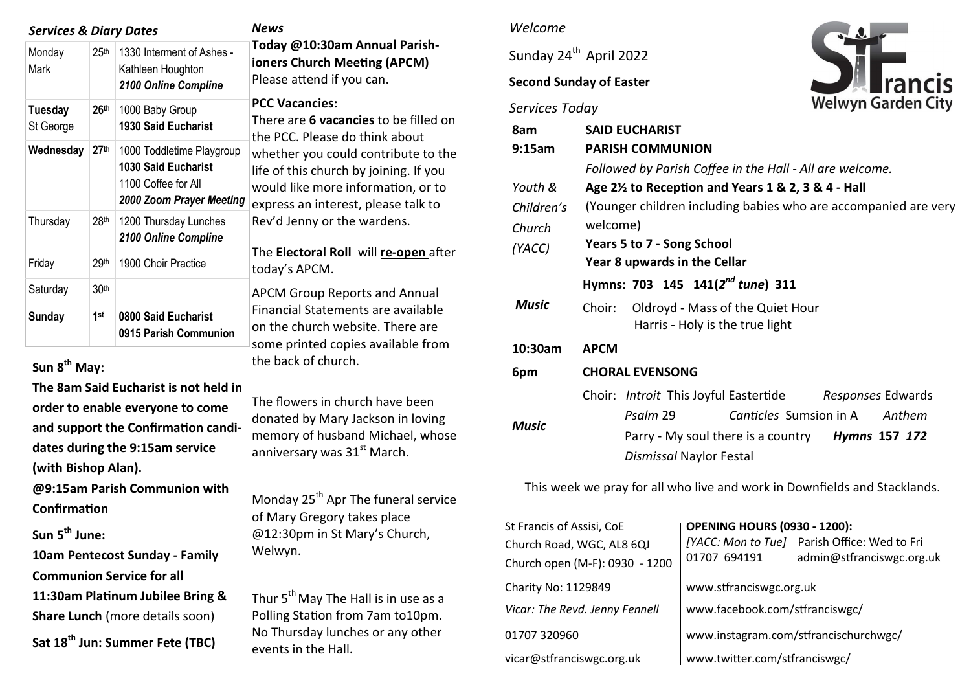| <b>Services &amp; Diary Dates</b> | News             |                                                                                                            |                                                                                                                                                                                             |
|-----------------------------------|------------------|------------------------------------------------------------------------------------------------------------|---------------------------------------------------------------------------------------------------------------------------------------------------------------------------------------------|
| Monday<br>Mark                    | 25 <sup>th</sup> | 1330 Interment of Ashes -<br>Kathleen Houghton<br>2100 Online Compline                                     | Today @<br>ioners Cl<br>Please at                                                                                                                                                           |
| <b>Tuesday</b><br>St George       | 26 <sup>th</sup> | 1000 Baby Group<br><b>1930 Said Eucharist</b>                                                              | <b>PCC Vaca</b><br>There are<br>the PCC.<br>whether<br>life of thi<br>would lik<br>express a<br>Rev'd Jer<br>The Elect<br>today's A<br><b>APCM Gr</b><br>Financial<br>on the ch<br>some pri |
| Wednesday                         | 27 <sup>th</sup> | 1000 Toddletime Playgroup<br><b>1030 Said Eucharist</b><br>1100 Coffee for All<br>2000 Zoom Prayer Meeting |                                                                                                                                                                                             |
| Thursday                          | 28 <sup>th</sup> | 1200 Thursday Lunches<br>2100 Online Compline                                                              |                                                                                                                                                                                             |
| Friday                            | 29th             | 1900 Choir Practice                                                                                        |                                                                                                                                                                                             |
| Saturday                          | 30th             |                                                                                                            |                                                                                                                                                                                             |
| Sunday                            | 1st              | 0800 Said Eucharist<br>0915 Parish Communion                                                               |                                                                                                                                                                                             |

# **Sun 8th May:**

**The 8am Said Eucharist is not held in order to enable everyone to come and support the Confirmation candidates during the 9:15am service (with Bishop Alan).** 

**@9:15am Parish Communion with Confirmation**

**Sun 5th June:** 

**10am Pentecost Sunday - Family Communion Service for all 11:30am Platinum Jubilee Bring &** 

**Share Lunch** (more details soon)

**Sat 18th Jun: Summer Fete (TBC)**

10:30am Annual Parish**ioners Church Meeting (APCM)**  ttend if you can.

### **PACCES:**

e **6 vacancies** to be filled on Please do think about you could contribute to the is church by joining. If you ke more information, or to an interest, please talk to nny or the wardens.

The **Electoral Roll** will **re-open** after  $PCM$ .

roup Reports and Annual Statements are available nurch website. There are inted copies available from the back of church.

The flowers in church have been donated by Mary Jackson in loving memory of husband Michael, whose anniversary was  $31<sup>st</sup>$  March.

Monday  $25<sup>th</sup>$  Apr The funeral service of Mary Gregory takes place @12:30pm in St Mary's Church, Welwyn.

Thur  $5<sup>th</sup>$  May The Hall is in use as a Polling Station from 7am to10pm. No Thursday lunches or any other events in the Hall.

### *Welcome*

Sunday 24<sup>th</sup> April 2022

### **Second Sunday of Easter**

# *Services Today*



| 8am<br>9:15am | <b>SAID EUCHARIST</b><br><b>PARISH COMMUNION</b>                              |  |  |  |  |  |
|---------------|-------------------------------------------------------------------------------|--|--|--|--|--|
|               | Followed by Parish Coffee in the Hall - All are welcome.                      |  |  |  |  |  |
| Youth &       | Age 2 <sup>1/2</sup> to Reception and Years 1 & 2, 3 & 4 - Hall               |  |  |  |  |  |
| Children's    | (Younger children including babies who are accompanied are very               |  |  |  |  |  |
| Church        | welcome)                                                                      |  |  |  |  |  |
| (YACC)        | <b>Years 5 to 7 - Song School</b>                                             |  |  |  |  |  |
|               | Year 8 upwards in the Cellar                                                  |  |  |  |  |  |
|               | Hymns: 703 145 141(2 <sup>nd</sup> tune) 311                                  |  |  |  |  |  |
| <b>Music</b>  | Oldroyd - Mass of the Quiet Hour<br>Choir:<br>Harris - Holy is the true light |  |  |  |  |  |
| 10:30am       | <b>APCM</b>                                                                   |  |  |  |  |  |
| 6pm           | <b>CHORAL EVENSONG</b>                                                        |  |  |  |  |  |
| <b>Music</b>  | Choir: Introit This Joyful Eastertide Responses Edwards                       |  |  |  |  |  |
|               | Canticles Sumsion in A<br>Psalm 29<br>Anthem                                  |  |  |  |  |  |
|               | Parry - My soul there is a country<br><b>Hymns 157 172</b>                    |  |  |  |  |  |
|               | Dismissal Naylor Festal                                                       |  |  |  |  |  |

This week we pray for all who live and work in Downfields and Stacklands.

| St Francis of Assisi, CoE      | <b>OPENING HOURS (0930 - 1200):</b>   |                                                                           |  |
|--------------------------------|---------------------------------------|---------------------------------------------------------------------------|--|
| Church Road, WGC, AL8 6QJ      | 01707 694191                          | [YACC: Mon to Tue] Parish Office: Wed to Fri<br>admin@stfranciswgc.org.uk |  |
| Church open (M-F): 0930 - 1200 |                                       |                                                                           |  |
| Charity No: 1129849            | www.stfranciswgc.org.uk               |                                                                           |  |
| Vicar: The Revd. Jenny Fennell | www.facebook.com/stfranciswgc/        |                                                                           |  |
| 01707 320960                   | www.instagram.com/stfrancischurchwgc/ |                                                                           |  |
| vicar@stfranciswgc.org.uk      | www.twitter.com/stfranciswgc/         |                                                                           |  |